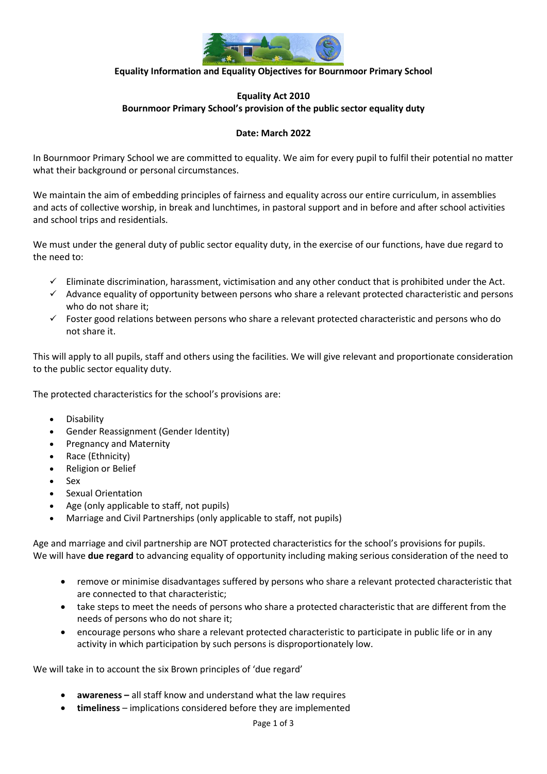

### **Equality Information and Equality Objectives for Bournmoor Primary School**

# **Equality Act 2010 Bournmoor Primary School's provision of the public sector equality duty**

### **Date: March 2022**

In Bournmoor Primary School we are committed to equality. We aim for every pupil to fulfil their potential no matter what their background or personal circumstances.

We maintain the aim of embedding principles of fairness and equality across our entire curriculum, in assemblies and acts of collective worship, in break and lunchtimes, in pastoral support and in before and after school activities and school trips and residentials.

We must under the general duty of public sector equality duty, in the exercise of our functions, have due regard to the need to:

- $\checkmark$  Eliminate discrimination, harassment, victimisation and any other conduct that is prohibited under the Act.
- $\checkmark$  Advance equality of opportunity between persons who share a relevant protected characteristic and persons who do not share it;
- $\checkmark$  Foster good relations between persons who share a relevant protected characteristic and persons who do not share it.

This will apply to all pupils, staff and others using the facilities. We will give relevant and proportionate consideration to the public sector equality duty.

The protected characteristics for the school's provisions are:

- Disability
- Gender Reassignment (Gender Identity)
- Pregnancy and Maternity
- Race (Ethnicity)
- Religion or Belief
- Sex
- Sexual Orientation
- Age (only applicable to staff, not pupils)
- Marriage and Civil Partnerships (only applicable to staff, not pupils)

Age and marriage and civil partnership are NOT protected characteristics for the school's provisions for pupils. We will have **due regard** to advancing equality of opportunity including making serious consideration of the need to

- remove or minimise disadvantages suffered by persons who share a relevant protected characteristic that are connected to that characteristic;
- take steps to meet the needs of persons who share a protected characteristic that are different from the needs of persons who do not share it;
- encourage persons who share a relevant protected characteristic to participate in public life or in any activity in which participation by such persons is disproportionately low.

We will take in to account the six Brown principles of 'due regard'

- **awareness –** all staff know and understand what the law requires
- **timeliness**  implications considered before they are implemented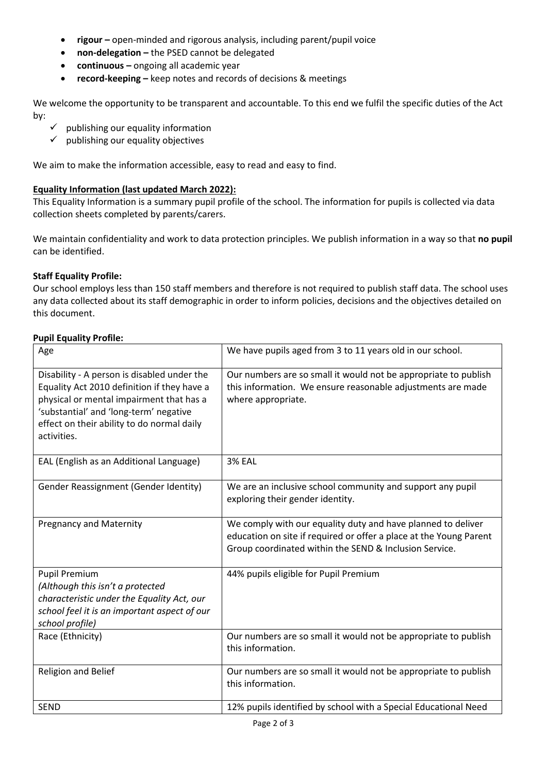- **rigour** open-minded and rigorous analysis, including parent/pupil voice
- **non-delegation –** the PSED cannot be delegated
- **continuous –** ongoing all academic year
- **record-keeping –** keep notes and records of decisions & meetings

We welcome the opportunity to be transparent and accountable. To this end we fulfil the specific duties of the Act by:

- $\checkmark$  publishing our equality information
- $\checkmark$  publishing our equality objectives

We aim to make the information accessible, easy to read and easy to find.

# **Equality Information (last updated March 2022):**

This Equality Information is a summary pupil profile of the school. The information for pupils is collected via data collection sheets completed by parents/carers.

We maintain confidentiality and work to data protection principles. We publish information in a way so that **no pupil** can be identified.

# **Staff Equality Profile:**

Our school employs less than 150 staff members and therefore is not required to publish staff data. The school uses any data collected about its staff demographic in order to inform policies, decisions and the objectives detailed on this document.

# **Pupil Equality Profile:**

| Age                                                                                                                                                                                                                                           | We have pupils aged from 3 to 11 years old in our school.                                                                                                                                    |
|-----------------------------------------------------------------------------------------------------------------------------------------------------------------------------------------------------------------------------------------------|----------------------------------------------------------------------------------------------------------------------------------------------------------------------------------------------|
| Disability - A person is disabled under the<br>Equality Act 2010 definition if they have a<br>physical or mental impairment that has a<br>'substantial' and 'long-term' negative<br>effect on their ability to do normal daily<br>activities. | Our numbers are so small it would not be appropriate to publish<br>this information. We ensure reasonable adjustments are made<br>where appropriate.                                         |
| EAL (English as an Additional Language)                                                                                                                                                                                                       | <b>3% EAL</b>                                                                                                                                                                                |
| Gender Reassignment (Gender Identity)                                                                                                                                                                                                         | We are an inclusive school community and support any pupil<br>exploring their gender identity.                                                                                               |
| <b>Pregnancy and Maternity</b>                                                                                                                                                                                                                | We comply with our equality duty and have planned to deliver<br>education on site if required or offer a place at the Young Parent<br>Group coordinated within the SEND & Inclusion Service. |
| <b>Pupil Premium</b><br>(Although this isn't a protected<br>characteristic under the Equality Act, our<br>school feel it is an important aspect of our<br>school profile)                                                                     | 44% pupils eligible for Pupil Premium                                                                                                                                                        |
| Race (Ethnicity)                                                                                                                                                                                                                              | Our numbers are so small it would not be appropriate to publish<br>this information.                                                                                                         |
| Religion and Belief                                                                                                                                                                                                                           | Our numbers are so small it would not be appropriate to publish<br>this information.                                                                                                         |
| <b>SEND</b>                                                                                                                                                                                                                                   | 12% pupils identified by school with a Special Educational Need                                                                                                                              |